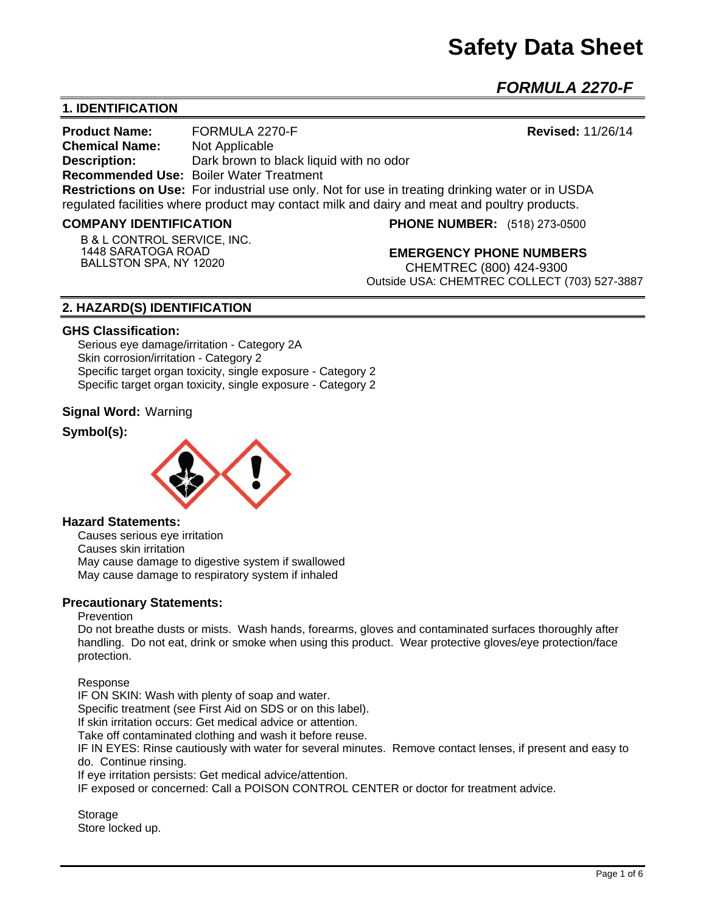# **Safety Data Sheet**

*FORMULA 2270-F* 

# **1. IDENTIFICATION**

**Product Name:** FORMULA 2270-F **Revised: 11/26/14 Chemical Name:** Not Applicable **Description:** Dark brown to black liquid with no odor **Recommended Use:** Boiler Water Treatment **Restrictions on Use:** For industrial use only. Not for use in treating drinking water or in USDA regulated facilities where product may contact milk and dairy and meat and poultry products.

#### **COMPANY IDENTIFICATION**

**B & L CONTROL SERVICE, INC. 1448 SARATOGA ROAD BALLSTON SPA, NY 12020**

**PHONE NUMBER:** (518) 273-0500

**EMERGENCY PHONE NUMBERS** CHEMTREC (800) 424-9300 Outside USA: CHEMTREC COLLECT (703) 527-3887

# **2. HAZARD(S) IDENTIFICATION**

#### **GHS Classification:**

Serious eye damage/irritation - Category 2A Skin corrosion/irritation - Category 2 Specific target organ toxicity, single exposure - Category 2 Specific target organ toxicity, single exposure - Category 2

## **Signal Word:** Warning

# **Symbol(s):**



#### **Hazard Statements:**

Causes serious eye irritation Causes skin irritation May cause damage to digestive system if swallowed May cause damage to respiratory system if inhaled

#### **Precautionary Statements:**

#### **Prevention**

Do not breathe dusts or mists. Wash hands, forearms, gloves and contaminated surfaces thoroughly after handling. Do not eat, drink or smoke when using this product. Wear protective gloves/eye protection/face protection.

Response

IF ON SKIN: Wash with plenty of soap and water.

Specific treatment (see First Aid on SDS or on this label).

If skin irritation occurs: Get medical advice or attention.

Take off contaminated clothing and wash it before reuse.

IF IN EYES: Rinse cautiously with water for several minutes. Remove contact lenses, if present and easy to do. Continue rinsing.

If eye irritation persists: Get medical advice/attention.

IF exposed or concerned: Call a POISON CONTROL CENTER or doctor for treatment advice.

**Storage** Store locked up.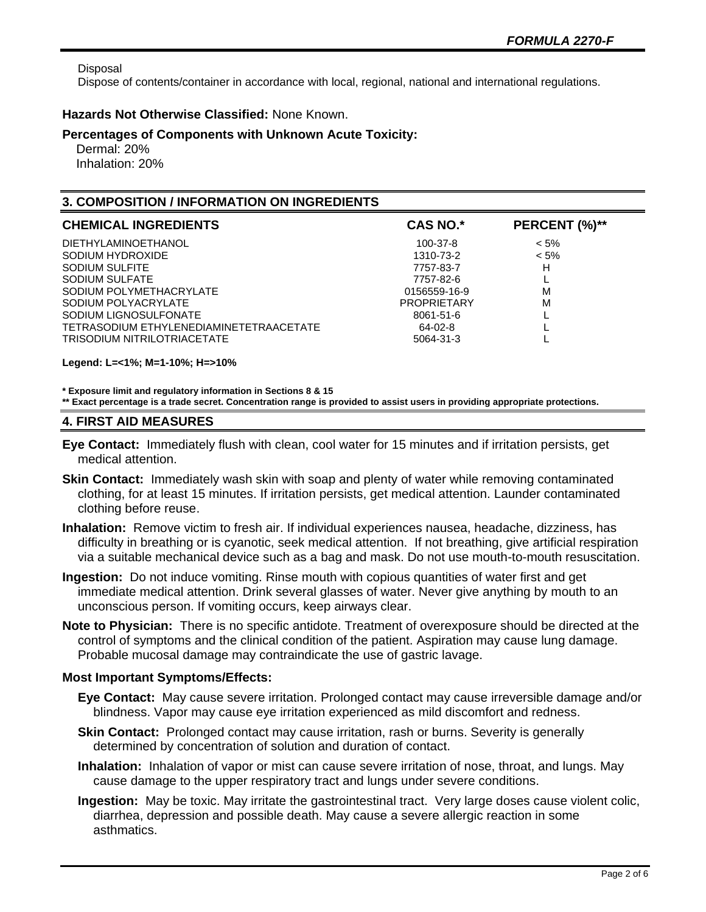Disposal

Dispose of contents/container in accordance with local, regional, national and international regulations.

## **Hazards Not Otherwise Classified:** None Known.

## **Percentages of Components with Unknown Acute Toxicity:**

 Dermal: 20% Inhalation: 20%

# **3. COMPOSITION / INFORMATION ON INGREDIENTS**

| <b>CHEMICAL INGREDIENTS</b>                                      | <b>CAS NO.*</b>           | PERCENT (%)** |
|------------------------------------------------------------------|---------------------------|---------------|
| <b>DIETHYLAMINOETHANOL</b>                                       | 100-37-8                  | $< 5\%$       |
| SODIUM HYDROXIDE<br>SODIUM SULFITE                               | 1310-73-2<br>7757-83-7    | $< 5\%$<br>н  |
| SODIUM SULFATE<br>SODIUM POLYMETHACRYLATE                        | 7757-82-6<br>0156559-16-9 | M             |
| SODIUM POLYACRYLATE                                              | <b>PROPRIETARY</b>        | M             |
| SODIUM LIGNOSULFONATE<br>TETRASODIUM ETHYLENEDIAMINETETRAACETATE | 8061-51-6<br>64-02-8      |               |
| <b>TRISODIUM NITRILOTRIACETATE</b>                               | 5064-31-3                 |               |

**Legend: L=<1%; M=1-10%; H=>10%**

**\* Exposure limit and regulatory information in Sections 8 & 15**

**\*\* Exact percentage is a trade secret. Concentration range is provided to assist users in providing appropriate protections.**

# **4. FIRST AID MEASURES**

- **Eye Contact:** Immediately flush with clean, cool water for 15 minutes and if irritation persists, get medical attention.
- **Skin Contact:** Immediately wash skin with soap and plenty of water while removing contaminated clothing, for at least 15 minutes. If irritation persists, get medical attention. Launder contaminated clothing before reuse.
- **Inhalation:** Remove victim to fresh air. If individual experiences nausea, headache, dizziness, has difficulty in breathing or is cyanotic, seek medical attention. If not breathing, give artificial respiration via a suitable mechanical device such as a bag and mask. Do not use mouth-to-mouth resuscitation.
- **Ingestion:** Do not induce vomiting. Rinse mouth with copious quantities of water first and get immediate medical attention. Drink several glasses of water. Never give anything by mouth to an unconscious person. If vomiting occurs, keep airways clear.
- **Note to Physician:** There is no specific antidote. Treatment of overexposure should be directed at the control of symptoms and the clinical condition of the patient. Aspiration may cause lung damage. Probable mucosal damage may contraindicate the use of gastric lavage.

# **Most Important Symptoms/Effects:**

- **Eye Contact:** May cause severe irritation. Prolonged contact may cause irreversible damage and/or blindness. Vapor may cause eye irritation experienced as mild discomfort and redness.
- **Skin Contact:** Prolonged contact may cause irritation, rash or burns. Severity is generally determined by concentration of solution and duration of contact.
- **Inhalation:** Inhalation of vapor or mist can cause severe irritation of nose, throat, and lungs. May cause damage to the upper respiratory tract and lungs under severe conditions.
- **Ingestion:** May be toxic. May irritate the gastrointestinal tract. Very large doses cause violent colic, diarrhea, depression and possible death. May cause a severe allergic reaction in some asthmatics.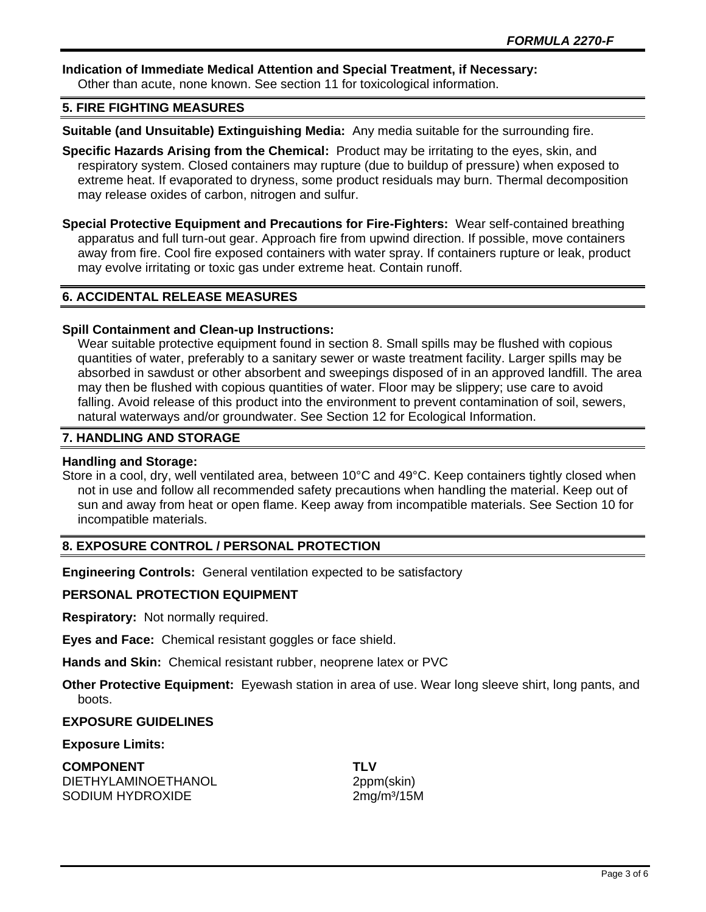# **Indication of Immediate Medical Attention and Special Treatment, if Necessary:**

Other than acute, none known. See section 11 for toxicological information.

# **5. FIRE FIGHTING MEASURES**

**Suitable (and Unsuitable) Extinguishing Media:** Any media suitable for the surrounding fire.

- **Specific Hazards Arising from the Chemical:** Product may be irritating to the eyes, skin, and respiratory system. Closed containers may rupture (due to buildup of pressure) when exposed to extreme heat. If evaporated to dryness, some product residuals may burn. Thermal decomposition may release oxides of carbon, nitrogen and sulfur.
- **Special Protective Equipment and Precautions for Fire-Fighters:** Wear self-contained breathing apparatus and full turn-out gear. Approach fire from upwind direction. If possible, move containers away from fire. Cool fire exposed containers with water spray. If containers rupture or leak, product may evolve irritating or toxic gas under extreme heat. Contain runoff.

# **6. ACCIDENTAL RELEASE MEASURES**

# **Spill Containment and Clean-up Instructions:**

Wear suitable protective equipment found in section 8. Small spills may be flushed with copious quantities of water, preferably to a sanitary sewer or waste treatment facility. Larger spills may be absorbed in sawdust or other absorbent and sweepings disposed of in an approved landfill. The area may then be flushed with copious quantities of water. Floor may be slippery; use care to avoid falling. Avoid release of this product into the environment to prevent contamination of soil, sewers, natural waterways and/or groundwater. See Section 12 for Ecological Information.

# **7. HANDLING AND STORAGE**

## **Handling and Storage:**

Store in a cool, dry, well ventilated area, between 10°C and 49°C. Keep containers tightly closed when not in use and follow all recommended safety precautions when handling the material. Keep out of sun and away from heat or open flame. Keep away from incompatible materials. See Section 10 for incompatible materials.

# **8. EXPOSURE CONTROL / PERSONAL PROTECTION**

**Engineering Controls:** General ventilation expected to be satisfactory

## **PERSONAL PROTECTION EQUIPMENT**

**Respiratory:** Not normally required.

**Eyes and Face:** Chemical resistant goggles or face shield.

**Hands and Skin:** Chemical resistant rubber, neoprene latex or PVC

**Other Protective Equipment:** Eyewash station in area of use. Wear long sleeve shirt, long pants, and boots.

# **EXPOSURE GUIDELINES**

## **Exposure Limits:**

**COMPONENT TLV** DIETHYLAMINOETHANOL 2ppm(skin) SODIUM HYDROXIDE 2mg/m<sup>3</sup>/15M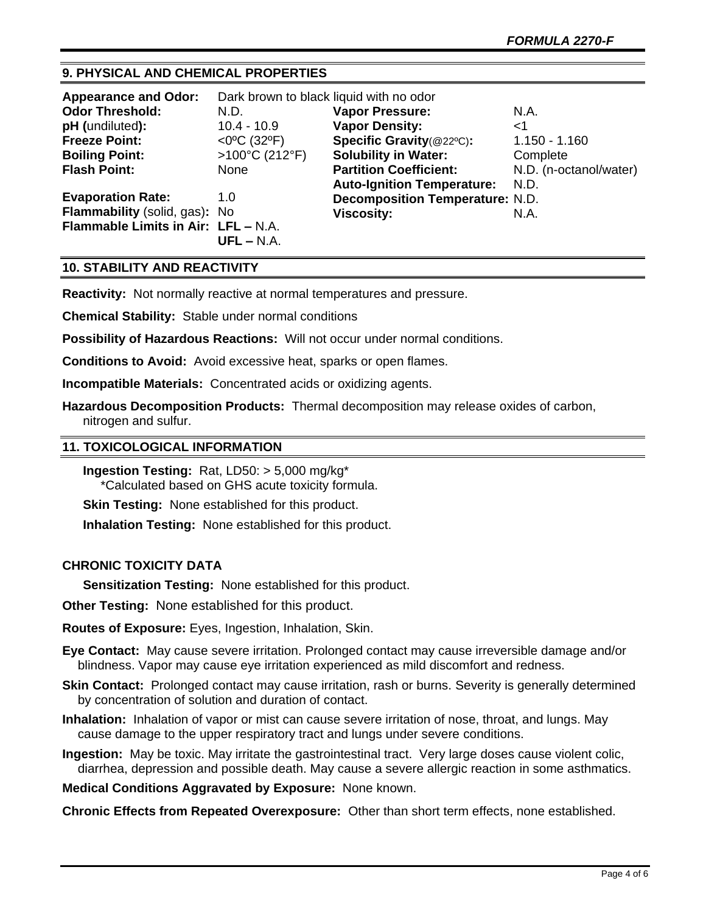# **9. PHYSICAL AND CHEMICAL PROPERTIES**

| <b>Appearance and Odor:</b>         | Dark brown to black liquid with no odor |                                        |                        |
|-------------------------------------|-----------------------------------------|----------------------------------------|------------------------|
| <b>Odor Threshold:</b>              | N.D.                                    | <b>Vapor Pressure:</b>                 | N.A.                   |
| pH (undiluted):                     | $10.4 - 10.9$                           | <b>Vapor Density:</b>                  | ا>                     |
| <b>Freeze Point:</b>                | $<$ 0°C (32°F)                          | Specific Gravity(@22°C):               | $1.150 - 1.160$        |
| <b>Boiling Point:</b>               | >100°C (212°F)                          | <b>Solubility in Water:</b>            | Complete               |
| <b>Flash Point:</b>                 | None                                    | <b>Partition Coefficient:</b>          | N.D. (n-octanol/water) |
|                                     |                                         | <b>Auto-Ignition Temperature:</b>      | N.D.                   |
| <b>Evaporation Rate:</b>            | 1.0                                     | <b>Decomposition Temperature: N.D.</b> |                        |
| Flammability (solid, gas): No       |                                         | <b>Viscosity:</b>                      | N.A.                   |
| Flammable Limits in Air: LFL - N.A. |                                         |                                        |                        |
|                                     | $UFL - N.A.$                            |                                        |                        |

# **10. STABILITY AND REACTIVITY**

**Reactivity:** Not normally reactive at normal temperatures and pressure.

**Chemical Stability:** Stable under normal conditions

**Possibility of Hazardous Reactions:** Will not occur under normal conditions.

**Conditions to Avoid:** Avoid excessive heat, sparks or open flames.

**Incompatible Materials:** Concentrated acids or oxidizing agents.

**Hazardous Decomposition Products:** Thermal decomposition may release oxides of carbon, nitrogen and sulfur.

#### **11. TOXICOLOGICAL INFORMATION**

**Ingestion Testing:** Rat, LD50: > 5,000 mg/kg\* \*Calculated based on GHS acute toxicity formula.

**Skin Testing:** None established for this product.

**Inhalation Testing:** None established for this product.

## **CHRONIC TOXICITY DATA**

**Sensitization Testing:** None established for this product.

**Other Testing:** None established for this product.

**Routes of Exposure:** Eyes, Ingestion, Inhalation, Skin.

**Eye Contact:** May cause severe irritation. Prolonged contact may cause irreversible damage and/or blindness. Vapor may cause eye irritation experienced as mild discomfort and redness.

- **Skin Contact:** Prolonged contact may cause irritation, rash or burns. Severity is generally determined by concentration of solution and duration of contact.
- **Inhalation:** Inhalation of vapor or mist can cause severe irritation of nose, throat, and lungs. May cause damage to the upper respiratory tract and lungs under severe conditions.

**Ingestion:** May be toxic. May irritate the gastrointestinal tract. Very large doses cause violent colic, diarrhea, depression and possible death. May cause a severe allergic reaction in some asthmatics.

**Medical Conditions Aggravated by Exposure:** None known.

**Chronic Effects from Repeated Overexposure:** Other than short term effects, none established.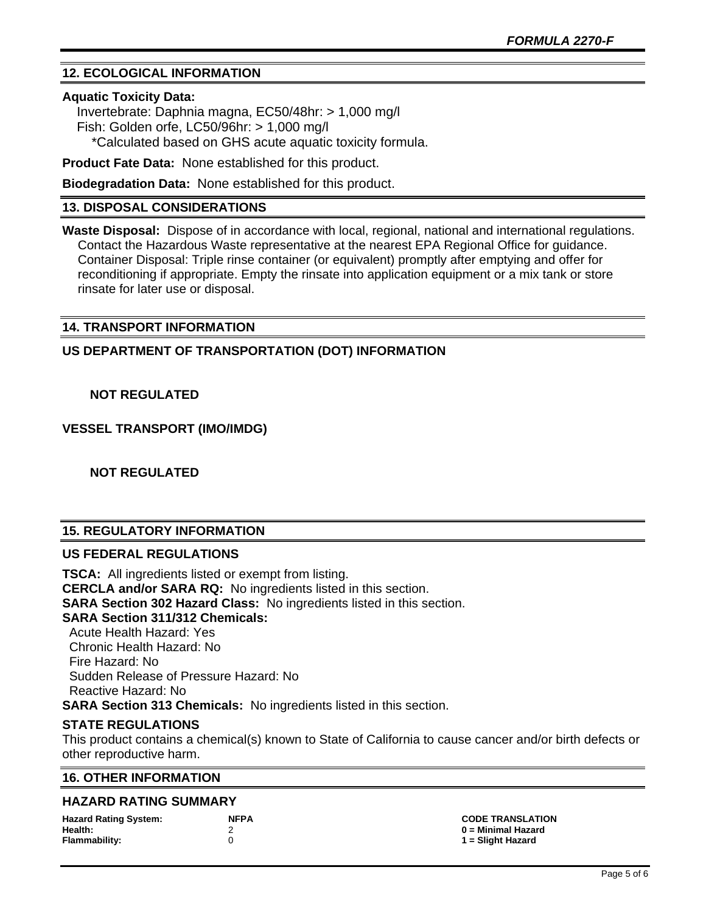# **12. ECOLOGICAL INFORMATION**

#### **Aquatic Toxicity Data:**

 Invertebrate: Daphnia magna, EC50/48hr: > 1,000 mg/l Fish: Golden orfe, LC50/96hr: > 1,000 mg/l \*Calculated based on GHS acute aquatic toxicity formula.

**Product Fate Data:** None established for this product.

**Biodegradation Data:** None established for this product.

## **13. DISPOSAL CONSIDERATIONS**

**Waste Disposal:** Dispose of in accordance with local, regional, national and international regulations. Contact the Hazardous Waste representative at the nearest EPA Regional Office for guidance. Container Disposal: Triple rinse container (or equivalent) promptly after emptying and offer for reconditioning if appropriate. Empty the rinsate into application equipment or a mix tank or store rinsate for later use or disposal.

## **14. TRANSPORT INFORMATION**

**US DEPARTMENT OF TRANSPORTATION (DOT) INFORMATION**

#### **NOT REGULATED**

**VESSEL TRANSPORT (IMO/IMDG)**

 **NOT REGULATED**

# **15. REGULATORY INFORMATION**

#### **US FEDERAL REGULATIONS**

**TSCA:** All ingredients listed or exempt from listing. **CERCLA and/or SARA RQ:** No ingredients listed in this section. **SARA Section 302 Hazard Class:** No ingredients listed in this section. **SARA Section 311/312 Chemicals:**  Acute Health Hazard: Yes Chronic Health Hazard: No Fire Hazard: No Sudden Release of Pressure Hazard: No Reactive Hazard: No

**SARA Section 313 Chemicals:** No ingredients listed in this section.

## **STATE REGULATIONS**

This product contains a chemical(s) known to State of California to cause cancer and/or birth defects or other reproductive harm.

#### **16. OTHER INFORMATION**

#### **HAZARD RATING SUMMARY**

| <b>Hazard Rating System:</b> | <b>NFPA</b> |
|------------------------------|-------------|
| Health:                      |             |
| <b>Flammability:</b>         | n           |

**Hazard Rating System: NFPA CODE TRANSLATION Health:** 2 **0 = Minimal Hazard Flammability:** 0 **1 = Slight Hazard**